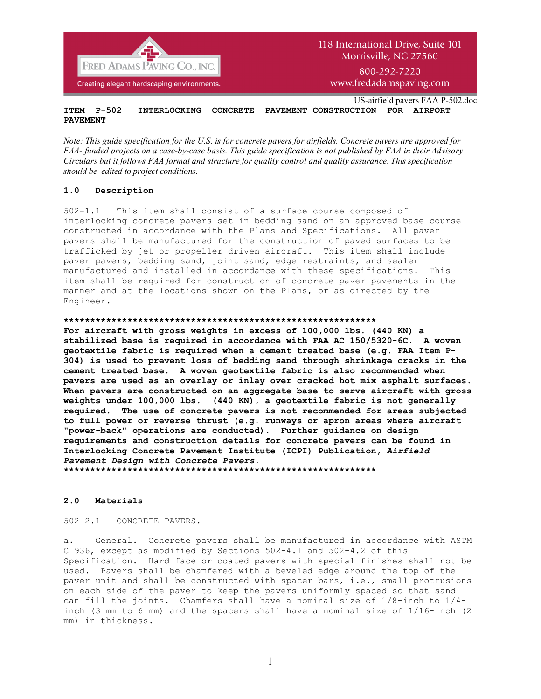

www.fredadamspaving.com

US-airfield pavers FAA P-502.doc **ITEM P-502 INTERLOCKING CONCRETE PAVEMENT CONSTRUCTION FOR AIRPORT PAVEMENT**

*Note: This guide specification for the U.S. is for concrete pavers for airfields. Concrete pavers are approved for FAA- funded projects on a case-by-case basis. This guide specification is not published by FAA in their Advisory Circulars but it follows FAA format and structure for quality control and quality assurance*. *This specification should be edited to project conditions.*

### **1.0 Description**

502-1.1 This item shall consist of a surface course composed of interlocking concrete pavers set in bedding sand on an approved base course constructed in accordance with the Plans and Specifications. All paver pavers shall be manufactured for the construction of paved surfaces to be trafficked by jet or propeller driven aircraft. This item shall include paver pavers, bedding sand, joint sand, edge restraints, and sealer manufactured and installed in accordance with these specifications. This item shall be required for construction of concrete paver pavements in the manner and at the locations shown on the Plans, or as directed by the Engineer.

### **\*\*\*\*\*\*\*\*\*\*\*\*\*\*\*\*\*\*\*\*\*\*\*\*\*\*\*\*\*\*\*\*\*\*\*\*\*\*\*\*\*\*\*\*\*\*\*\*\*\*\*\*\*\*\*\*\*\*\***

**For aircraft with gross weights in excess of 100,000 lbs. (440 KN) a stabilized base is required in accordance with FAA AC 150/5320-6C. A woven geotextile fabric is required when a cement treated base (e.g. FAA Item P-304) is used to prevent loss of bedding sand through shrinkage cracks in the cement treated base. A woven geotextile fabric is also recommended when pavers are used as an overlay or inlay over cracked hot mix asphalt surfaces. When pavers are constructed on an aggregate base to serve aircraft with gross weights under 100,000 lbs. (440 KN), a geotextile fabric is not generally required. The use of concrete pavers is not recommended for areas subjected to full power or reverse thrust (e.g. runways or apron areas where aircraft "power-back" operations are conducted). Further guidance on design requirements and construction details for concrete pavers can be found in Interlocking Concrete Pavement Institute (ICPI) Publication,** *Airfield Pavement Design with Concrete Pavers.*

**\*\*\*\*\*\*\*\*\*\*\*\*\*\*\*\*\*\*\*\*\*\*\*\*\*\*\*\*\*\*\*\*\*\*\*\*\*\*\*\*\*\*\*\*\*\*\*\*\*\*\*\*\*\*\*\*\*\*\***

### **2.0 Materials**

502-2.1 CONCRETE PAVERS.

a. General. Concrete pavers shall be manufactured in accordance with ASTM C 936, except as modified by Sections 502-4.1 and 502-4.2 of this Specification. Hard face or coated pavers with special finishes shall not be used. Pavers shall be chamfered with a beveled edge around the top of the paver unit and shall be constructed with spacer bars, i.e., small protrusions on each side of the paver to keep the pavers uniformly spaced so that sand can fill the joints. Chamfers shall have a nominal size of 1/8-inch to 1/4 inch (3 mm to 6 mm) and the spacers shall have a nominal size of 1/16-inch (2 mm) in thickness.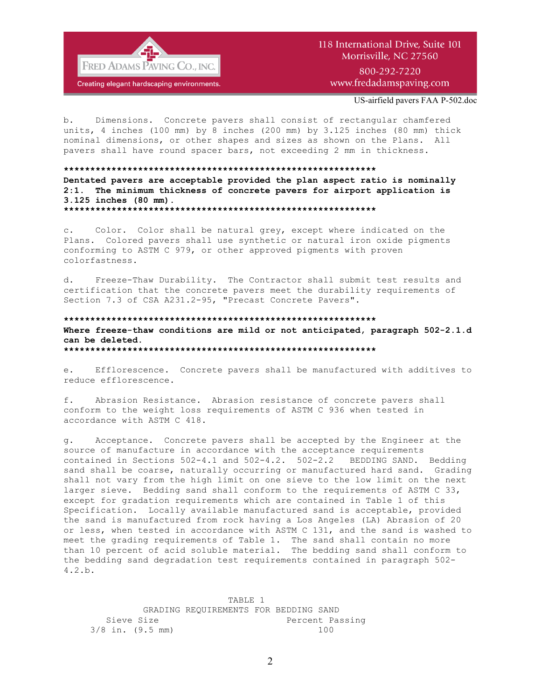

## 118 International Drive, Suite 101 Morrisville, NC 27560 800-292-7220

www.fredadamspaving.com

US-airfield pavers FAA P-502.doc

b. Dimensions. Concrete pavers shall consist of rectangular chamfered units, 4 inches (100 mm) by 8 inches (200 mm) by 3.125 inches (80 mm) thick nominal dimensions, or other shapes and sizes as shown on the Plans. All pavers shall have round spacer bars, not exceeding 2 mm in thickness.

#### **\*\*\*\*\*\*\*\*\*\*\*\*\*\*\*\*\*\*\*\*\*\*\*\*\*\*\*\*\*\*\*\*\*\*\*\*\*\*\*\*\*\*\*\*\*\*\*\*\*\*\*\*\*\*\*\*\*\*\***

**Dentated pavers are acceptable provided the plan aspect ratio is nominally 2:1. The minimum thickness of concrete pavers for airport application is 3.125 inches (80 mm). \*\*\*\*\*\*\*\*\*\*\*\*\*\*\*\*\*\*\*\*\*\*\*\*\*\*\*\*\*\*\*\*\*\*\*\*\*\*\*\*\*\*\*\*\*\*\*\*\*\*\*\*\*\*\*\*\*\*\***

c. Color. Color shall be natural grey, except where indicated on the Plans. Colored pavers shall use synthetic or natural iron oxide pigments conforming to ASTM C 979, or other approved pigments with proven colorfastness.

d. Freeze-Thaw Durability. The Contractor shall submit test results and certification that the concrete pavers meet the durability requirements of Section 7.3 of CSA A231.2-95, "Precast Concrete Pavers".

### **\*\*\*\*\*\*\*\*\*\*\*\*\*\*\*\*\*\*\*\*\*\*\*\*\*\*\*\*\*\*\*\*\*\*\*\*\*\*\*\*\*\*\*\*\*\*\*\*\*\*\*\*\*\*\*\*\*\*\* Where freeze-thaw conditions are mild or not anticipated, paragraph 502-2.1.d can be deleted. \*\*\*\*\*\*\*\*\*\*\*\*\*\*\*\*\*\*\*\*\*\*\*\*\*\*\*\*\*\*\*\*\*\*\*\*\*\*\*\*\*\*\*\*\*\*\*\*\*\*\*\*\*\*\*\*\*\*\***

e. Efflorescence. Concrete pavers shall be manufactured with additives to reduce efflorescence.

f. Abrasion Resistance. Abrasion resistance of concrete pavers shall conform to the weight loss requirements of ASTM C 936 when tested in accordance with ASTM C 418.

g. Acceptance. Concrete pavers shall be accepted by the Engineer at the source of manufacture in accordance with the acceptance requirements contained in Sections 502-4.1 and 502-4.2. 502-2.2 BEDDING SAND. Bedding sand shall be coarse, naturally occurring or manufactured hard sand. Grading shall not vary from the high limit on one sieve to the low limit on the next larger sieve. Bedding sand shall conform to the requirements of ASTM C 33, except for gradation requirements which are contained in Table 1 of this Specification. Locally available manufactured sand is acceptable, provided the sand is manufactured from rock having a Los Angeles (LA) Abrasion of 20 or less, when tested in accordance with ASTM C 131, and the sand is washed to meet the grading requirements of Table 1. The sand shall contain no more than 10 percent of acid soluble material. The bedding sand shall conform to the bedding sand degradation test requirements contained in paragraph 502- 4.2.b.

 TABLE 1 GRADING REQUIREMENTS FOR BEDDING SAND Sieve Size **Percent Passing** 3/8 in. (9.5 mm) 100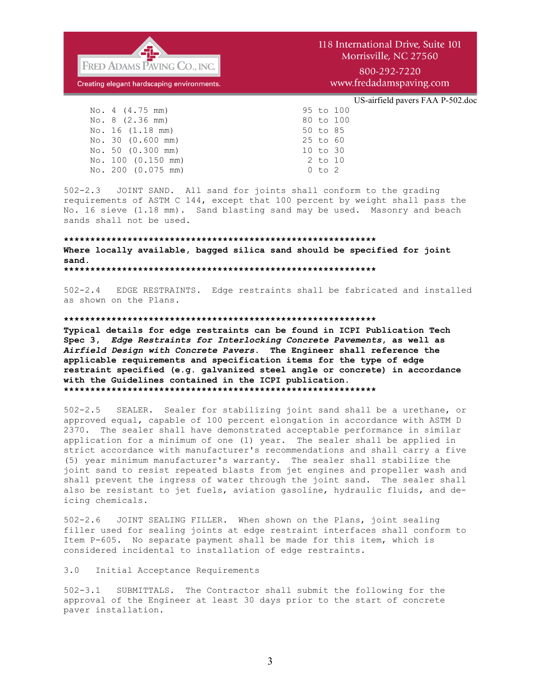

800-292-7220 www.fredadamspaving.com

### US-airfield pavers FAA P-502.doc

 No. 4 (4.75 mm) 95 to 100 No. 8 (2.36 mm) 80 to 100 No. 16 (1.18 mm) 50 to 85<br>No. 30 (0.600 mm) 25 to 60 No. 30 (0.600 mm) 25 to 60<br>No. 50 (0.300 mm) 10 to 30  $No. 50 (0.300 mm)$  No. 100 (0.150 mm) 2 to 10 No. 200 (0.075 mm) 0 to 2

502-2.3 JOINT SAND. All sand for joints shall conform to the grading requirements of ASTM C 144, except that 100 percent by weight shall pass the No. 16 sieve (1.18 mm). Sand blasting sand may be used. Masonry and beach sands shall not be used.

### **\*\*\*\*\*\*\*\*\*\*\*\*\*\*\*\*\*\*\*\*\*\*\*\*\*\*\*\*\*\*\*\*\*\*\*\*\*\*\*\*\*\*\*\*\*\*\*\*\*\*\*\*\*\*\*\*\*\*\* Where locally available, bagged silica sand should be specified for joint sand. \*\*\*\*\*\*\*\*\*\*\*\*\*\*\*\*\*\*\*\*\*\*\*\*\*\*\*\*\*\*\*\*\*\*\*\*\*\*\*\*\*\*\*\*\*\*\*\*\*\*\*\*\*\*\*\*\*\*\***

502-2.4 EDGE RESTRAINTS. Edge restraints shall be fabricated and installed as shown on the Plans.

### **\*\*\*\*\*\*\*\*\*\*\*\*\*\*\*\*\*\*\*\*\*\*\*\*\*\*\*\*\*\*\*\*\*\*\*\*\*\*\*\*\*\*\*\*\*\*\*\*\*\*\*\*\*\*\*\*\*\*\***

**Typical details for edge restraints can be found in ICPI Publication Tech Spec 3,** *Edge Restraints for Interlocking Concrete Pavements***, as well as**  *Airfield Design with Concrete Pavers.* **The Engineer shall reference the applicable requirements and specification items for the type of edge restraint specified (e.g. galvanized steel angle or concrete) in accordance with the Guidelines contained in the ICPI publication. \*\*\*\*\*\*\*\*\*\*\*\*\*\*\*\*\*\*\*\*\*\*\*\*\*\*\*\*\*\*\*\*\*\*\*\*\*\*\*\*\*\*\*\*\*\*\*\*\*\*\*\*\*\*\*\*\*\*\***

502-2.5 SEALER. Sealer for stabilizing joint sand shall be a urethane, or approved equal, capable of 100 percent elongation in accordance with ASTM D 2370. The sealer shall have demonstrated acceptable performance in similar application for a minimum of one (1) year. The sealer shall be applied in strict accordance with manufacturer's recommendations and shall carry a five (5) year minimum manufacturer's warranty. The sealer shall stabilize the joint sand to resist repeated blasts from jet engines and propeller wash and shall prevent the ingress of water through the joint sand. The sealer shall also be resistant to jet fuels, aviation gasoline, hydraulic fluids, and deicing chemicals.

502-2.6 JOINT SEALING FILLER. When shown on the Plans, joint sealing filler used for sealing joints at edge restraint interfaces shall conform to Item P-605. No separate payment shall be made for this item, which is considered incidental to installation of edge restraints.

### 3.0 Initial Acceptance Requirements

502-3.1 SUBMITTALS. The Contractor shall submit the following for the approval of the Engineer at least 30 days prior to the start of concrete paver installation.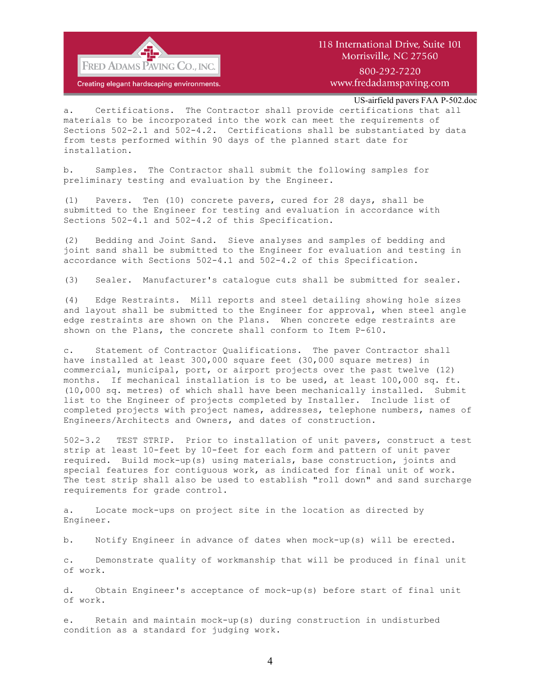

800-292-7220 www.fredadamspaving.com

US-airfield pavers FAA P-502.doc

a. Certifications. The Contractor shall provide certifications that all materials to be incorporated into the work can meet the requirements of Sections 502-2.1 and 502-4.2. Certifications shall be substantiated by data from tests performed within 90 days of the planned start date for installation.

b. Samples. The Contractor shall submit the following samples for preliminary testing and evaluation by the Engineer.

(1) Pavers. Ten (10) concrete pavers, cured for 28 days, shall be submitted to the Engineer for testing and evaluation in accordance with Sections 502-4.1 and 502-4.2 of this Specification.

(2) Bedding and Joint Sand. Sieve analyses and samples of bedding and joint sand shall be submitted to the Engineer for evaluation and testing in accordance with Sections 502-4.1 and 502-4.2 of this Specification.

(3) Sealer. Manufacturer's catalogue cuts shall be submitted for sealer.

(4) Edge Restraints. Mill reports and steel detailing showing hole sizes and layout shall be submitted to the Engineer for approval, when steel angle edge restraints are shown on the Plans. When concrete edge restraints are shown on the Plans, the concrete shall conform to Item P-610.

c. Statement of Contractor Qualifications. The paver Contractor shall have installed at least 300,000 square feet (30,000 square metres) in commercial, municipal, port, or airport projects over the past twelve (12) months. If mechanical installation is to be used, at least 100,000 sq. ft. (10,000 sq. metres) of which shall have been mechanically installed. Submit list to the Engineer of projects completed by Installer. Include list of completed projects with project names, addresses, telephone numbers, names of Engineers/Architects and Owners, and dates of construction.

502-3.2 TEST STRIP. Prior to installation of unit pavers, construct a test strip at least 10-feet by 10-feet for each form and pattern of unit paver required. Build mock-up(s) using materials, base construction, joints and special features for contiguous work, as indicated for final unit of work. The test strip shall also be used to establish "roll down" and sand surcharge requirements for grade control.

a. Locate mock-ups on project site in the location as directed by Engineer.

b. Notify Engineer in advance of dates when mock-up(s) will be erected.

c. Demonstrate quality of workmanship that will be produced in final unit of work.

d. Obtain Engineer's acceptance of mock-up(s) before start of final unit of work.

e. Retain and maintain mock-up(s) during construction in undisturbed condition as a standard for judging work.

4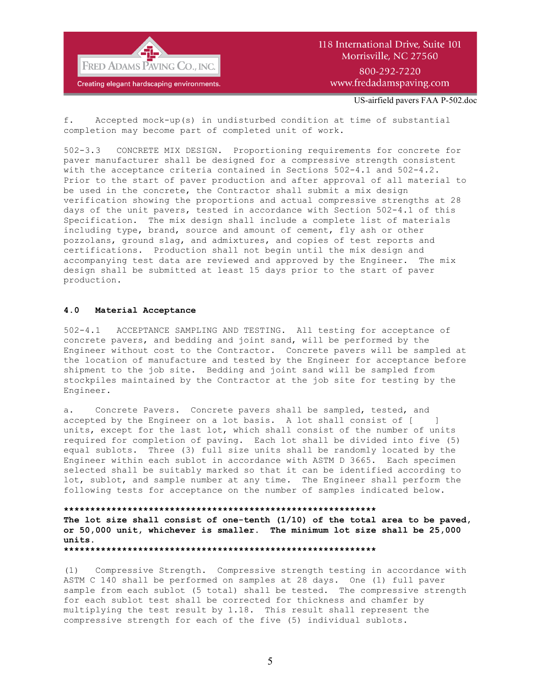

## 118 International Drive, Suite 101 Morrisville, NC 27560 800-292-7220 www.fredadamspaving.com

US-airfield pavers FAA P-502.doc

f. Accepted mock-up(s) in undisturbed condition at time of substantial completion may become part of completed unit of work.

502-3.3 CONCRETE MIX DESIGN. Proportioning requirements for concrete for paver manufacturer shall be designed for a compressive strength consistent with the acceptance criteria contained in Sections 502-4.1 and 502-4.2. Prior to the start of paver production and after approval of all material to be used in the concrete, the Contractor shall submit a mix design verification showing the proportions and actual compressive strengths at 28 days of the unit pavers, tested in accordance with Section 502-4.1 of this Specification. The mix design shall include a complete list of materials including type, brand, source and amount of cement, fly ash or other pozzolans, ground slag, and admixtures, and copies of test reports and certifications. Production shall not begin until the mix design and accompanying test data are reviewed and approved by the Engineer. The mix design shall be submitted at least 15 days prior to the start of paver production.

### **4.0 Material Acceptance**

502-4.1 ACCEPTANCE SAMPLING AND TESTING. All testing for acceptance of concrete pavers, and bedding and joint sand, will be performed by the Engineer without cost to the Contractor. Concrete pavers will be sampled at the location of manufacture and tested by the Engineer for acceptance before shipment to the job site. Bedding and joint sand will be sampled from stockpiles maintained by the Contractor at the job site for testing by the Engineer.

a. Concrete Pavers. Concrete pavers shall be sampled, tested, and accepted by the Engineer on a lot basis. A lot shall consist of [ ] units, except for the last lot, which shall consist of the number of units required for completion of paving. Each lot shall be divided into five (5) equal sublots. Three (3) full size units shall be randomly located by the Engineer within each sublot in accordance with ASTM D 3665. Each specimen selected shall be suitably marked so that it can be identified according to lot, sublot, and sample number at any time. The Engineer shall perform the following tests for acceptance on the number of samples indicated below.

### **\*\*\*\*\*\*\*\*\*\*\*\*\*\*\*\*\*\*\*\*\*\*\*\*\*\*\*\*\*\*\*\*\*\*\*\*\*\*\*\*\*\*\*\*\*\*\*\*\*\*\*\*\*\*\*\*\*\*\***

**The lot size shall consist of one-tenth (1/10) of the total area to be paved, or 50,000 unit, whichever is smaller. The minimum lot size shall be 25,000 units.**

**\*\*\*\*\*\*\*\*\*\*\*\*\*\*\*\*\*\*\*\*\*\*\*\*\*\*\*\*\*\*\*\*\*\*\*\*\*\*\*\*\*\*\*\*\*\*\*\*\*\*\*\*\*\*\*\*\*\*\***

(1) Compressive Strength. Compressive strength testing in accordance with ASTM C 140 shall be performed on samples at 28 days. One (1) full paver sample from each sublot (5 total) shall be tested. The compressive strength for each sublot test shall be corrected for thickness and chamfer by multiplying the test result by 1.18. This result shall represent the compressive strength for each of the five (5) individual sublots.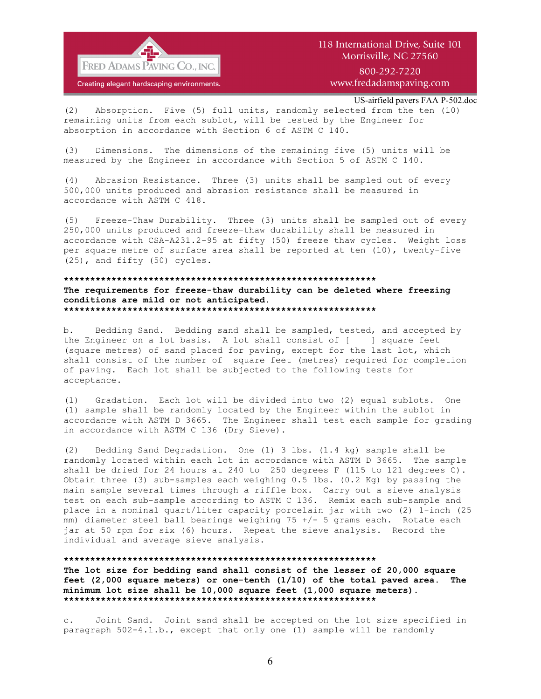

800-292-7220 www.fredadamspaving.com

US-airfield pavers FAA P-502.doc

(2) Absorption. Five (5) full units, randomly selected from the ten (10) remaining units from each sublot, will be tested by the Engineer for absorption in accordance with Section 6 of ASTM C 140.

(3) Dimensions. The dimensions of the remaining five (5) units will be measured by the Engineer in accordance with Section 5 of ASTM C 140.

(4) Abrasion Resistance. Three (3) units shall be sampled out of every 500,000 units produced and abrasion resistance shall be measured in accordance with ASTM C 418.

(5) Freeze-Thaw Durability. Three (3) units shall be sampled out of every 250,000 units produced and freeze-thaw durability shall be measured in accordance with CSA-A231.2-95 at fifty (50) freeze thaw cycles. Weight loss per square metre of surface area shall be reported at ten (10), twenty-five (25), and fifty (50) cycles.

#### **\*\*\*\*\*\*\*\*\*\*\*\*\*\*\*\*\*\*\*\*\*\*\*\*\*\*\*\*\*\*\*\*\*\*\*\*\*\*\*\*\*\*\*\*\*\*\*\*\*\*\*\*\*\*\*\*\*\*\***

**The requirements for freeze-thaw durability can be deleted where freezing conditions are mild or not anticipated. \*\*\*\*\*\*\*\*\*\*\*\*\*\*\*\*\*\*\*\*\*\*\*\*\*\*\*\*\*\*\*\*\*\*\*\*\*\*\*\*\*\*\*\*\*\*\*\*\*\*\*\*\*\*\*\*\*\*\***

b. Bedding Sand. Bedding sand shall be sampled, tested, and accepted by the Engineer on a lot basis. A lot shall consist of [ ] square feet (square metres) of sand placed for paving, except for the last lot, which shall consist of the number of square feet (metres) required for completion of paving. Each lot shall be subjected to the following tests for acceptance.

(1) Gradation. Each lot will be divided into two (2) equal sublots. One (1) sample shall be randomly located by the Engineer within the sublot in accordance with ASTM D 3665. The Engineer shall test each sample for grading in accordance with ASTM C 136 (Dry Sieve).

(2) Bedding Sand Degradation. One (1) 3 lbs. (1.4 kg) sample shall be randomly located within each lot in accordance with ASTM D 3665. The sample shall be dried for 24 hours at 240 to 250 degrees F (115 to 121 degrees C). Obtain three (3) sub-samples each weighing 0.5 lbs. (0.2 Kg) by passing the main sample several times through a riffle box. Carry out a sieve analysis test on each sub-sample according to ASTM C 136. Remix each sub-sample and place in a nominal quart/liter capacity porcelain jar with two (2) 1-inch (25 mm) diameter steel ball bearings weighing 75 +/- 5 grams each. Rotate each jar at 50 rpm for six (6) hours. Repeat the sieve analysis. Record the individual and average sieve analysis.

**\*\*\*\*\*\*\*\*\*\*\*\*\*\*\*\*\*\*\*\*\*\*\*\*\*\*\*\*\*\*\*\*\*\*\*\*\*\*\*\*\*\*\*\*\*\*\*\*\*\*\*\*\*\*\*\*\*\*\***

**The lot size for bedding sand shall consist of the lesser of 20,000 square feet (2,000 square meters) or one-tenth (1/10) of the total paved area. The minimum lot size shall be 10,000 square feet (1,000 square meters). \*\*\*\*\*\*\*\*\*\*\*\*\*\*\*\*\*\*\*\*\*\*\*\*\*\*\*\*\*\*\*\*\*\*\*\*\*\*\*\*\*\*\*\*\*\*\*\*\*\*\*\*\*\*\*\*\*\*\***

c. Joint Sand. Joint sand shall be accepted on the lot size specified in paragraph 502-4.1.b., except that only one (1) sample will be randomly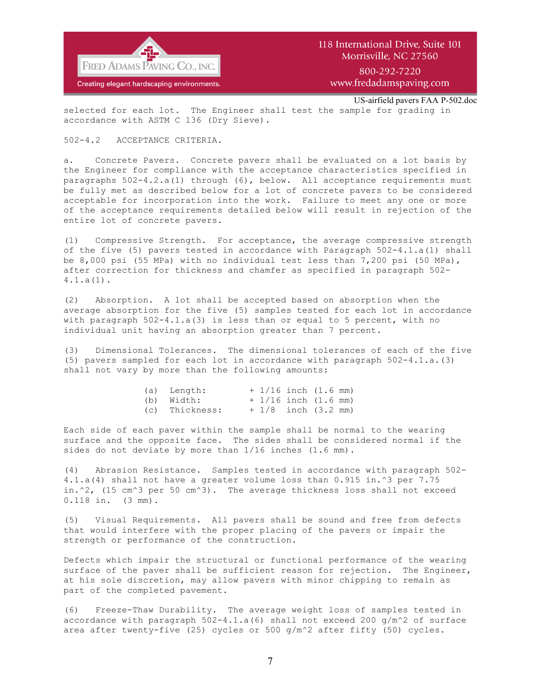

US-airfield pavers FAA P-502.doc

selected for each lot. The Engineer shall test the sample for grading in accordance with ASTM C 136 (Dry Sieve).

### 502-4.2 ACCEPTANCE CRITERIA.

a. Concrete Pavers. Concrete pavers shall be evaluated on a lot basis by the Engineer for compliance with the acceptance characteristics specified in paragraphs 502-4.2.a(1) through (6), below. All acceptance requirements must be fully met as described below for a lot of concrete pavers to be considered acceptable for incorporation into the work. Failure to meet any one or more of the acceptance requirements detailed below will result in rejection of the entire lot of concrete pavers.

(1) Compressive Strength. For acceptance, the average compressive strength of the five (5) pavers tested in accordance with Paragraph 502-4.1.a(1) shall be 8,000 psi (55 MPa) with no individual test less than 7,200 psi (50 MPa), after correction for thickness and chamfer as specified in paragraph 502- 4.1.a(1).

(2) Absorption. A lot shall be accepted based on absorption when the average absorption for the five (5) samples tested for each lot in accordance with paragraph 502-4.1.a(3) is less than or equal to 5 percent, with no individual unit having an absorption greater than 7 percent.

(3) Dimensional Tolerances. The dimensional tolerances of each of the five (5) pavers sampled for each lot in accordance with paragraph 502-4.1.a.(3) shall not vary by more than the following amounts:

| (a) Length:    |  | $+1/16$ inch $(1.6$ mm)        |  |
|----------------|--|--------------------------------|--|
| (b) Width:     |  | $+1/16$ inch $(1.6$ mm)        |  |
| (c) Thickness: |  | $+1/8$ inch $(3.2 \text{ mm})$ |  |

Each side of each paver within the sample shall be normal to the wearing surface and the opposite face. The sides shall be considered normal if the sides do not deviate by more than 1/16 inches (1.6 mm).

(4) Abrasion Resistance. Samples tested in accordance with paragraph 502- 4.1.a(4) shall not have a greater volume loss than 0.915 in.^3 per 7.75 in.^2, (15 cm^3 per 50 cm^3). The average thickness loss shall not exceed 0.118 in. (3 mm).

(5) Visual Requirements. All pavers shall be sound and free from defects that would interfere with the proper placing of the pavers or impair the strength or performance of the construction.

Defects which impair the structural or functional performance of the wearing surface of the paver shall be sufficient reason for rejection. The Engineer, at his sole discretion, may allow pavers with minor chipping to remain as part of the completed pavement.

(6) Freeze-Thaw Durability. The average weight loss of samples tested in accordance with paragraph  $502-4.1.a(6)$  shall not exceed 200 g/m^2 of surface area after twenty-five (25) cycles or 500 g/m^2 after fifty (50) cycles.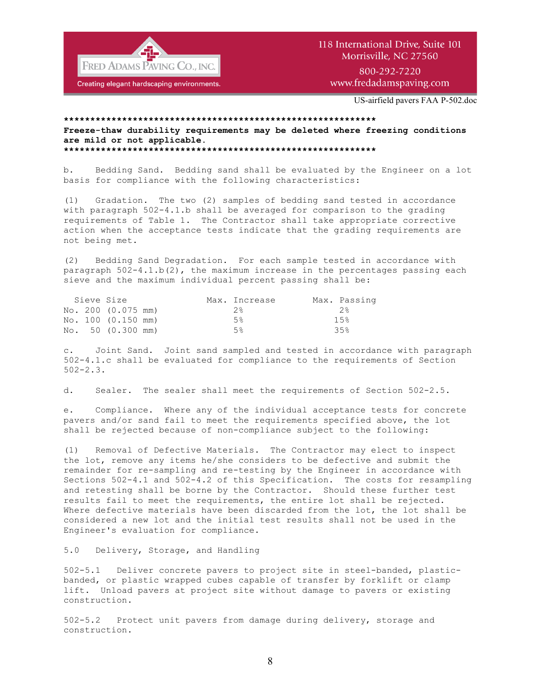

## 118 International Drive, Suite 101 Morrisville, NC 27560 800-292-7220 www.fredadamspaving.com

US-airfield pavers FAA P-502.doc

### **\*\*\*\*\*\*\*\*\*\*\*\*\*\*\*\*\*\*\*\*\*\*\*\*\*\*\*\*\*\*\*\*\*\*\*\*\*\*\*\*\*\*\*\*\*\*\*\*\*\*\*\*\*\*\*\*\*\*\* Freeze-thaw durability requirements may be deleted where freezing conditions are mild or not applicable. \*\*\*\*\*\*\*\*\*\*\*\*\*\*\*\*\*\*\*\*\*\*\*\*\*\*\*\*\*\*\*\*\*\*\*\*\*\*\*\*\*\*\*\*\*\*\*\*\*\*\*\*\*\*\*\*\*\*\***

b. Bedding Sand. Bedding sand shall be evaluated by the Engineer on a lot basis for compliance with the following characteristics:

(1) Gradation. The two (2) samples of bedding sand tested in accordance with paragraph 502-4.1.b shall be averaged for comparison to the grading requirements of Table 1. The Contractor shall take appropriate corrective action when the acceptance tests indicate that the grading requirements are not being met.

(2) Bedding Sand Degradation. For each sample tested in accordance with paragraph  $502-4.1.b(2)$ , the maximum increase in the percentages passing each sieve and the maximum individual percent passing shall be:

|  | Sieve Size         |  | Max. Increase | Max. Passing |
|--|--------------------|--|---------------|--------------|
|  | No. 200 (0.075 mm) |  | $2\,$         | 2.8          |
|  | No. 100 (0.150 mm) |  | 5%            | 1.5%         |
|  | No. 50 (0.300 mm)  |  | .5%           | 35%          |

c. Joint Sand. Joint sand sampled and tested in accordance with paragraph 502-4.1.c shall be evaluated for compliance to the requirements of Section 502-2.3.

d. Sealer. The sealer shall meet the requirements of Section 502-2.5.

e. Compliance. Where any of the individual acceptance tests for concrete pavers and/or sand fail to meet the requirements specified above, the lot shall be rejected because of non-compliance subject to the following:

(1) Removal of Defective Materials. The Contractor may elect to inspect the lot, remove any items he/she considers to be defective and submit the remainder for re-sampling and re-testing by the Engineer in accordance with Sections 502-4.1 and 502-4.2 of this Specification. The costs for resampling and retesting shall be borne by the Contractor. Should these further test results fail to meet the requirements, the entire lot shall be rejected. Where defective materials have been discarded from the lot, the lot shall be considered a new lot and the initial test results shall not be used in the Engineer's evaluation for compliance.

### 5.0 Delivery, Storage, and Handling

502-5.1 Deliver concrete pavers to project site in steel-banded, plasticbanded, or plastic wrapped cubes capable of transfer by forklift or clamp lift. Unload pavers at project site without damage to pavers or existing construction.

502-5.2 Protect unit pavers from damage during delivery, storage and construction.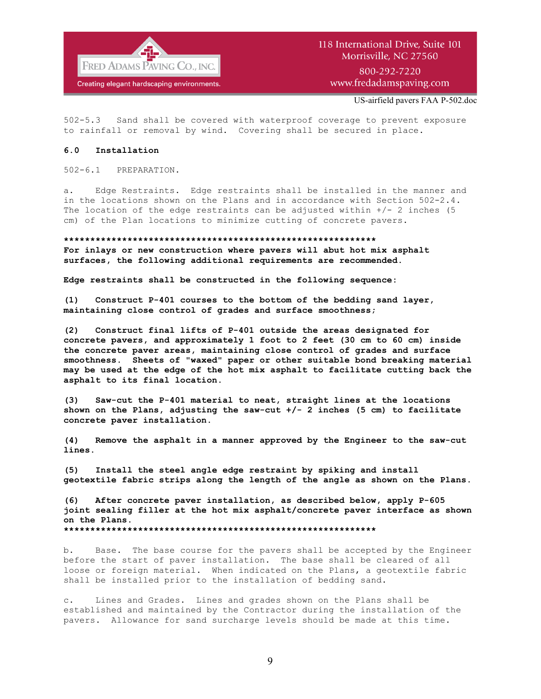

US-airfield pavers FAA P-502.doc

502-5.3 Sand shall be covered with waterproof coverage to prevent exposure to rainfall or removal by wind. Covering shall be secured in place.

### **6.0 Installation**

502-6.1 PREPARATION.

a. Edge Restraints. Edge restraints shall be installed in the manner and in the locations shown on the Plans and in accordance with Section 502-2.4. The location of the edge restraints can be adjusted within  $+/- 2$  inches (5 cm) of the Plan locations to minimize cutting of concrete pavers.

### **\*\*\*\*\*\*\*\*\*\*\*\*\*\*\*\*\*\*\*\*\*\*\*\*\*\*\*\*\*\*\*\*\*\*\*\*\*\*\*\*\*\*\*\*\*\*\*\*\*\*\*\*\*\*\*\*\*\*\* For inlays or new construction where pavers will abut hot mix asphalt**

**surfaces, the following additional requirements are recommended.**

**Edge restraints shall be constructed in the following sequence:**

**(1) Construct P-401 courses to the bottom of the bedding sand layer, maintaining close control of grades and surface smoothness;**

**(2) Construct final lifts of P-401 outside the areas designated for concrete pavers, and approximately 1 foot to 2 feet (30 cm to 60 cm) inside the concrete paver areas, maintaining close control of grades and surface smoothness. Sheets of "waxed" paper or other suitable bond breaking material may be used at the edge of the hot mix asphalt to facilitate cutting back the asphalt to its final location.**

**(3) Saw-cut the P-401 material to neat, straight lines at the locations shown on the Plans, adjusting the saw-cut +/- 2 inches (5 cm) to facilitate concrete paver installation.**

**(4) Remove the asphalt in a manner approved by the Engineer to the saw-cut lines.**

**(5) Install the steel angle edge restraint by spiking and install geotextile fabric strips along the length of the angle as shown on the Plans.**

**(6) After concrete paver installation, as described below, apply P-605 joint sealing filler at the hot mix asphalt/concrete paver interface as shown on the Plans.**

**\*\*\*\*\*\*\*\*\*\*\*\*\*\*\*\*\*\*\*\*\*\*\*\*\*\*\*\*\*\*\*\*\*\*\*\*\*\*\*\*\*\*\*\*\*\*\*\*\*\*\*\*\*\*\*\*\*\*\***

b. Base. The base course for the pavers shall be accepted by the Engineer before the start of paver installation. The base shall be cleared of all loose or foreign material. When indicated on the Plans, a geotextile fabric shall be installed prior to the installation of bedding sand.

c. Lines and Grades. Lines and grades shown on the Plans shall be established and maintained by the Contractor during the installation of the pavers. Allowance for sand surcharge levels should be made at this time.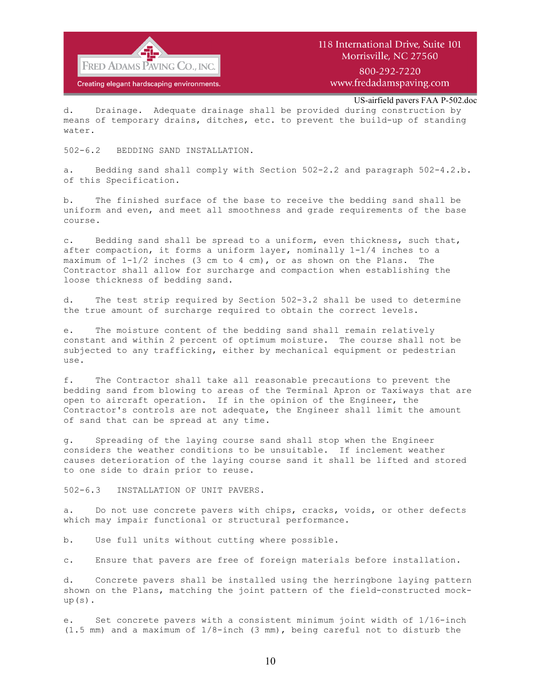

800-292-7220 www.fredadamspaving.com

US-airfield pavers FAA P-502.doc

d. Drainage. Adequate drainage shall be provided during construction by means of temporary drains, ditches, etc. to prevent the build-up of standing water.

502-6.2 BEDDING SAND INSTALLATION.

a. Bedding sand shall comply with Section 502-2.2 and paragraph 502-4.2.b. of this Specification.

b. The finished surface of the base to receive the bedding sand shall be uniform and even, and meet all smoothness and grade requirements of the base course.

c. Bedding sand shall be spread to a uniform, even thickness, such that, after compaction, it forms a uniform layer, nominally 1-1/4 inches to a maximum of  $1-1/2$  inches (3 cm to 4 cm), or as shown on the Plans. The Contractor shall allow for surcharge and compaction when establishing the loose thickness of bedding sand.

d. The test strip required by Section 502-3.2 shall be used to determine the true amount of surcharge required to obtain the correct levels.

e. The moisture content of the bedding sand shall remain relatively constant and within 2 percent of optimum moisture. The course shall not be subjected to any trafficking, either by mechanical equipment or pedestrian use.

f. The Contractor shall take all reasonable precautions to prevent the bedding sand from blowing to areas of the Terminal Apron or Taxiways that are open to aircraft operation. If in the opinion of the Engineer, the Contractor's controls are not adequate, the Engineer shall limit the amount of sand that can be spread at any time.

g. Spreading of the laying course sand shall stop when the Engineer considers the weather conditions to be unsuitable. If inclement weather causes deterioration of the laying course sand it shall be lifted and stored to one side to drain prior to reuse.

502-6.3 INSTALLATION OF UNIT PAVERS.

a. Do not use concrete pavers with chips, cracks, voids, or other defects which may impair functional or structural performance.

b. Use full units without cutting where possible.

c. Ensure that pavers are free of foreign materials before installation.

d. Concrete pavers shall be installed using the herringbone laying pattern shown on the Plans, matching the joint pattern of the field-constructed mock $up(s)$ .

e. Set concrete pavers with a consistent minimum joint width of 1/16-inch (1.5 mm) and a maximum of 1/8-inch (3 mm), being careful not to disturb the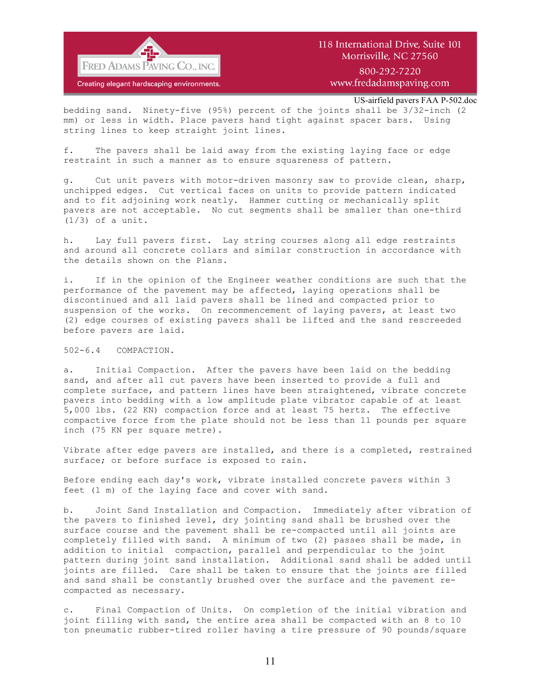

800-292-7220 www.fredadamspaving.com

US-airfield pavers FAA P-502.doc

bedding sand. Ninety-five (95%) percent of the joints shall be 3/32-inch (2 mm) or less in width. Place pavers hand tight against spacer bars. Using string lines to keep straight joint lines.

f. The pavers shall be laid away from the existing laying face or edge restraint in such a manner as to ensure squareness of pattern.

g. Cut unit pavers with motor-driven masonry saw to provide clean, sharp, unchipped edges. Cut vertical faces on units to provide pattern indicated and to fit adjoining work neatly. Hammer cutting or mechanically split pavers are not acceptable. No cut segments shall be smaller than one-third (1/3) of a unit.

h. Lay full pavers first. Lay string courses along all edge restraints and around all concrete collars and similar construction in accordance with the details shown on the Plans.

i. If in the opinion of the Engineer weather conditions are such that the performance of the pavement may be affected, laying operations shall be discontinued and all laid pavers shall be lined and compacted prior to suspension of the works. On recommencement of laying pavers, at least two (2) edge courses of existing pavers shall be lifted and the sand rescreeded before pavers are laid.

502-6.4 COMPACTION.

a. Initial Compaction. After the pavers have been laid on the bedding sand, and after all cut pavers have been inserted to provide a full and complete surface, and pattern lines have been straightened, vibrate concrete pavers into bedding with a low amplitude plate vibrator capable of at least 5,000 lbs. (22 KN) compaction force and at least 75 hertz. The effective compactive force from the plate should not be less than 11 pounds per square inch (75 KN per square metre).

Vibrate after edge pavers are installed, and there is a completed, restrained surface; or before surface is exposed to rain.

Before ending each day's work, vibrate installed concrete pavers within 3 feet (1 m) of the laying face and cover with sand.

b. Joint Sand Installation and Compaction. Immediately after vibration of the pavers to finished level, dry jointing sand shall be brushed over the surface course and the pavement shall be re-compacted until all joints are completely filled with sand. A minimum of two (2) passes shall be made, in addition to initial compaction, parallel and perpendicular to the joint pattern during joint sand installation. Additional sand shall be added until joints are filled. Care shall be taken to ensure that the joints are filled and sand shall be constantly brushed over the surface and the pavement recompacted as necessary.

c. Final Compaction of Units. On completion of the initial vibration and joint filling with sand, the entire area shall be compacted with an 8 to 10 ton pneumatic rubber-tired roller having a tire pressure of 90 pounds/square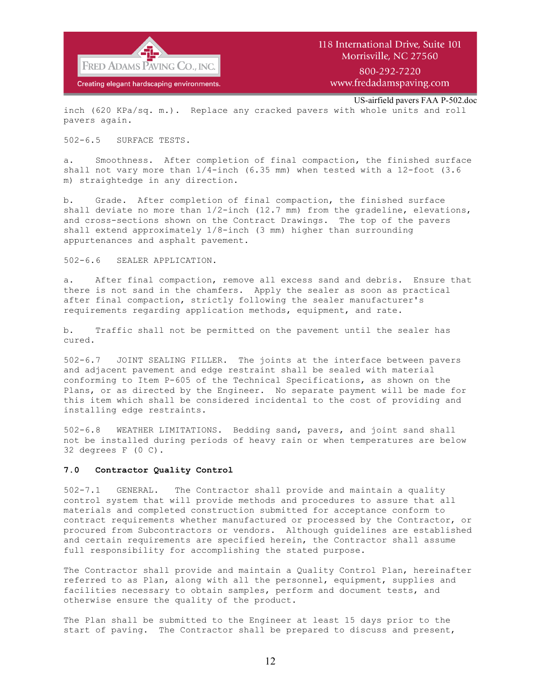

www.fredadamspaving.com

US-airfield pavers FAA P-502.doc

inch (620 KPa/sq. m.). Replace any cracked pavers with whole units and roll pavers again.

### 502-6.5 SURFACE TESTS.

a. Smoothness. After completion of final compaction, the finished surface shall not vary more than 1/4-inch (6.35 mm) when tested with a 12-foot (3.6 m) straightedge in any direction.

b. Grade. After completion of final compaction, the finished surface shall deviate no more than  $1/2$ -inch (12.7 mm) from the gradeline, elevations, and cross-sections shown on the Contract Drawings. The top of the pavers shall extend approximately 1/8-inch (3 mm) higher than surrounding appurtenances and asphalt pavement.

502-6.6 SEALER APPLICATION.

a. After final compaction, remove all excess sand and debris. Ensure that there is not sand in the chamfers. Apply the sealer as soon as practical after final compaction, strictly following the sealer manufacturer's requirements regarding application methods, equipment, and rate.

b. Traffic shall not be permitted on the pavement until the sealer has cured.

502-6.7 JOINT SEALING FILLER. The joints at the interface between pavers and adjacent pavement and edge restraint shall be sealed with material conforming to Item P-605 of the Technical Specifications, as shown on the Plans, or as directed by the Engineer. No separate payment will be made for this item which shall be considered incidental to the cost of providing and installing edge restraints.

502-6.8 WEATHER LIMITATIONS. Bedding sand, pavers, and joint sand shall not be installed during periods of heavy rain or when temperatures are below 32 degrees F (0 C).

### **7.0 Contractor Quality Control**

502-7.1 GENERAL. The Contractor shall provide and maintain a quality control system that will provide methods and procedures to assure that all materials and completed construction submitted for acceptance conform to contract requirements whether manufactured or processed by the Contractor, or procured from Subcontractors or vendors. Although guidelines are established and certain requirements are specified herein, the Contractor shall assume full responsibility for accomplishing the stated purpose.

The Contractor shall provide and maintain a Quality Control Plan, hereinafter referred to as Plan, along with all the personnel, equipment, supplies and facilities necessary to obtain samples, perform and document tests, and otherwise ensure the quality of the product.

The Plan shall be submitted to the Engineer at least 15 days prior to the start of paving. The Contractor shall be prepared to discuss and present,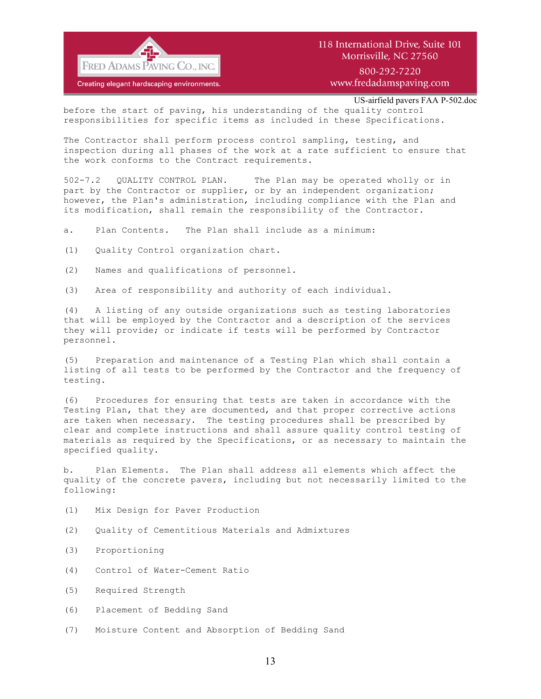

800-292-7220 www.fredadamspaving.com

US-airfield pavers FAA P-502.doc

before the start of paving, his understanding of the quality control responsibilities for specific items as included in these Specifications.

The Contractor shall perform process control sampling, testing, and inspection during all phases of the work at a rate sufficient to ensure that the work conforms to the Contract requirements.

502-7.2 QUALITY CONTROL PLAN. The Plan may be operated wholly or in part by the Contractor or supplier, or by an independent organization; however, the Plan's administration, including compliance with the Plan and its modification, shall remain the responsibility of the Contractor.

a. Plan Contents. The Plan shall include as a minimum:

(1) Quality Control organization chart.

(2) Names and qualifications of personnel.

(3) Area of responsibility and authority of each individual.

(4) A listing of any outside organizations such as testing laboratories that will be employed by the Contractor and a description of the services they will provide; or indicate if tests will be performed by Contractor personnel.

(5) Preparation and maintenance of a Testing Plan which shall contain a listing of all tests to be performed by the Contractor and the frequency of testing.

(6) Procedures for ensuring that tests are taken in accordance with the Testing Plan, that they are documented, and that proper corrective actions are taken when necessary. The testing procedures shall be prescribed by clear and complete instructions and shall assure quality control testing of materials as required by the Specifications, or as necessary to maintain the specified quality.

b. Plan Elements. The Plan shall address all elements which affect the quality of the concrete pavers, including but not necessarily limited to the following:

- (1) Mix Design for Paver Production
- (2) Quality of Cementitious Materials and Admixtures
- (3) Proportioning
- (4) Control of Water-Cement Ratio
- (5) Required Strength
- (6) Placement of Bedding Sand
- (7) Moisture Content and Absorption of Bedding Sand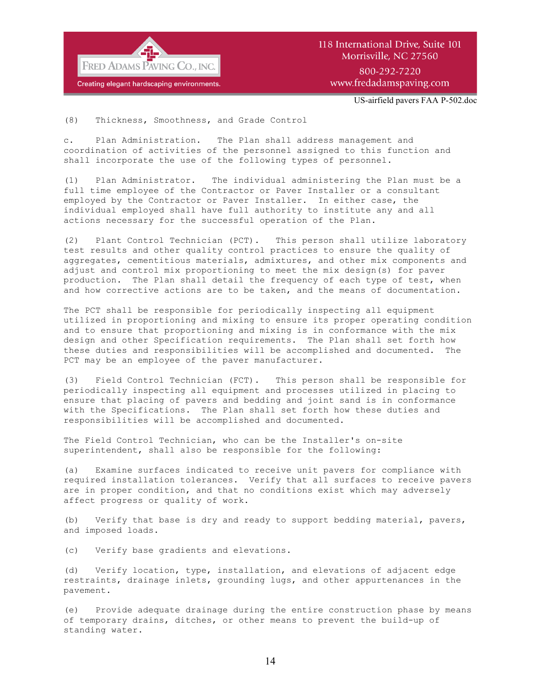

## 118 International Drive, Suite 101 Morrisville, NC 27560 800-292-7220 www.fredadamspaving.com

US-airfield pavers FAA P-502.doc

(8) Thickness, Smoothness, and Grade Control

c. Plan Administration. The Plan shall address management and coordination of activities of the personnel assigned to this function and shall incorporate the use of the following types of personnel.

(1) Plan Administrator. The individual administering the Plan must be a full time employee of the Contractor or Paver Installer or a consultant employed by the Contractor or Paver Installer. In either case, the individual employed shall have full authority to institute any and all actions necessary for the successful operation of the Plan.

(2) Plant Control Technician (PCT). This person shall utilize laboratory test results and other quality control practices to ensure the quality of aggregates, cementitious materials, admixtures, and other mix components and adjust and control mix proportioning to meet the mix design(s) for paver production. The Plan shall detail the frequency of each type of test, when and how corrective actions are to be taken, and the means of documentation.

The PCT shall be responsible for periodically inspecting all equipment utilized in proportioning and mixing to ensure its proper operating condition and to ensure that proportioning and mixing is in conformance with the mix design and other Specification requirements. The Plan shall set forth how these duties and responsibilities will be accomplished and documented. The PCT may be an employee of the paver manufacturer.

(3) Field Control Technician (FCT). This person shall be responsible for periodically inspecting all equipment and processes utilized in placing to ensure that placing of pavers and bedding and joint sand is in conformance with the Specifications. The Plan shall set forth how these duties and responsibilities will be accomplished and documented.

The Field Control Technician, who can be the Installer's on-site superintendent, shall also be responsible for the following:

(a) Examine surfaces indicated to receive unit pavers for compliance with required installation tolerances. Verify that all surfaces to receive pavers are in proper condition, and that no conditions exist which may adversely affect progress or quality of work.

(b) Verify that base is dry and ready to support bedding material, pavers, and imposed loads.

(c) Verify base gradients and elevations.

(d) Verify location, type, installation, and elevations of adjacent edge restraints, drainage inlets, grounding lugs, and other appurtenances in the pavement.

(e) Provide adequate drainage during the entire construction phase by means of temporary drains, ditches, or other means to prevent the build-up of standing water.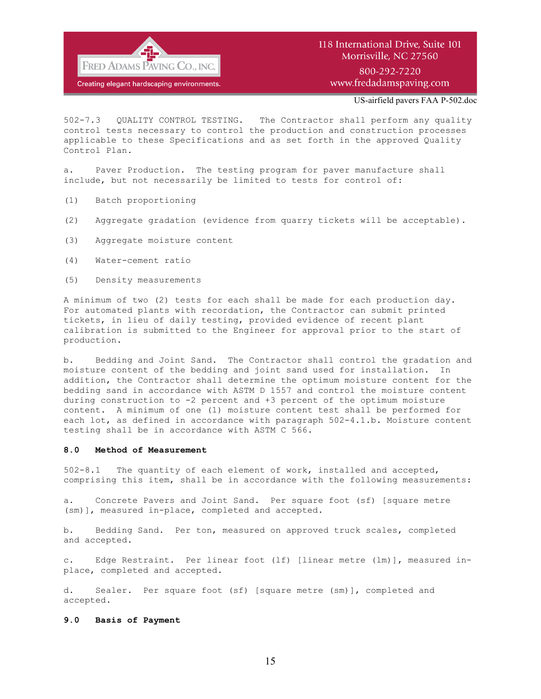

US-airfield pavers FAA P-502.doc

502-7.3 QUALITY CONTROL TESTING. The Contractor shall perform any quality control tests necessary to control the production and construction processes applicable to these Specifications and as set forth in the approved Quality Control Plan.

a. Paver Production. The testing program for paver manufacture shall include, but not necessarily be limited to tests for control of:

- (1) Batch proportioning
- (2) Aggregate gradation (evidence from quarry tickets will be acceptable).
- (3) Aggregate moisture content
- (4) Water-cement ratio
- (5) Density measurements

A minimum of two (2) tests for each shall be made for each production day. For automated plants with recordation, the Contractor can submit printed tickets, in lieu of daily testing, provided evidence of recent plant calibration is submitted to the Engineer for approval prior to the start of production.

b. Bedding and Joint Sand. The Contractor shall control the gradation and moisture content of the bedding and joint sand used for installation. In addition, the Contractor shall determine the optimum moisture content for the bedding sand in accordance with ASTM D 1557 and control the moisture content during construction to -2 percent and +3 percent of the optimum moisture content. A minimum of one (1) moisture content test shall be performed for each lot, as defined in accordance with paragraph 502-4.1.b. Moisture content testing shall be in accordance with ASTM C 566.

### **8.0 Method of Measurement**

502-8.1 The quantity of each element of work, installed and accepted, comprising this item, shall be in accordance with the following measurements:

a. Concrete Pavers and Joint Sand. Per square foot (sf) [square metre (sm)], measured in-place, completed and accepted.

b. Bedding Sand. Per ton, measured on approved truck scales, completed and accepted.

c. Edge Restraint. Per linear foot (lf) [linear metre (lm)], measured inplace, completed and accepted.

d. Sealer. Per square foot (sf) [square metre (sm)], completed and accepted.

### **9.0 Basis of Payment**